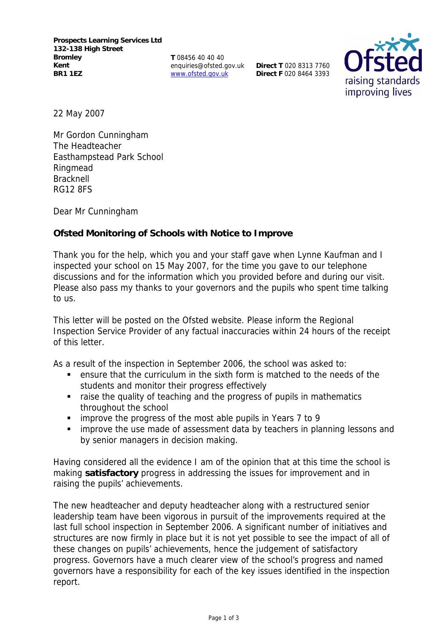**T** 08456 40 40 40 enquiries@ofsted.gov.uk www.ofsted.gov.uk

**Direct T** 020 8313 7760 **Direct F** 020 8464 3393



22 May 2007

Mr Gordon Cunningham The Headteacher Easthampstead Park School Ringmead **Bracknell** RG12 8FS

Dear Mr Cunningham

## **Ofsted Monitoring of Schools with Notice to Improve**

Thank you for the help, which you and your staff gave when Lynne Kaufman and I inspected your school on 15 May 2007, for the time you gave to our telephone discussions and for the information which you provided before and during our visit. Please also pass my thanks to your governors and the pupils who spent time talking to us.

This letter will be posted on the Ofsted website. Please inform the Regional Inspection Service Provider of any factual inaccuracies within 24 hours of the receipt of this letter.

As a result of the inspection in September 2006, the school was asked to:

- ensure that the curriculum in the sixth form is matched to the needs of the students and monitor their progress effectively
- raise the quality of teaching and the progress of pupils in mathematics throughout the school
- improve the progress of the most able pupils in Years 7 to 9
- **i** improve the use made of assessment data by teachers in planning lessons and by senior managers in decision making.

Having considered all the evidence I am of the opinion that at this time the school is making **satisfactory** progress in addressing the issues for improvement and in raising the pupils' achievements.

The new headteacher and deputy headteacher along with a restructured senior leadership team have been vigorous in pursuit of the improvements required at the last full school inspection in September 2006. A significant number of initiatives and structures are now firmly in place but it is not yet possible to see the impact of all of these changes on pupils' achievements, hence the judgement of satisfactory progress. Governors have a much clearer view of the school's progress and named governors have a responsibility for each of the key issues identified in the inspection report.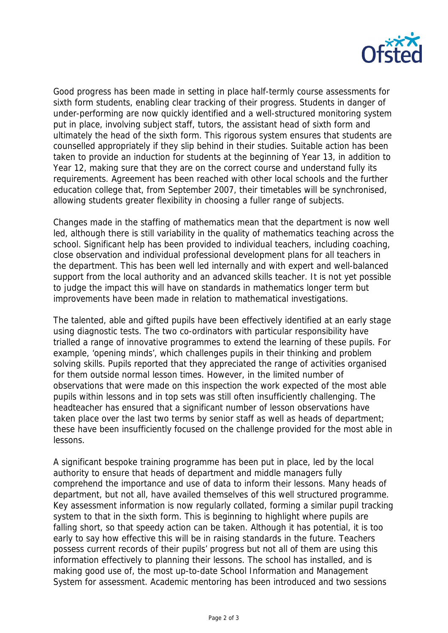

Good progress has been made in setting in place half-termly course assessments for sixth form students, enabling clear tracking of their progress. Students in danger of under-performing are now quickly identified and a well-structured monitoring system put in place, involving subject staff, tutors, the assistant head of sixth form and ultimately the head of the sixth form. This rigorous system ensures that students are counselled appropriately if they slip behind in their studies. Suitable action has been taken to provide an induction for students at the beginning of Year 13, in addition to Year 12, making sure that they are on the correct course and understand fully its requirements. Agreement has been reached with other local schools and the further education college that, from September 2007, their timetables will be synchronised, allowing students greater flexibility in choosing a fuller range of subjects.

Changes made in the staffing of mathematics mean that the department is now well led, although there is still variability in the quality of mathematics teaching across the school. Significant help has been provided to individual teachers, including coaching, close observation and individual professional development plans for all teachers in the department. This has been well led internally and with expert and well-balanced support from the local authority and an advanced skills teacher. It is not yet possible to judge the impact this will have on standards in mathematics longer term but improvements have been made in relation to mathematical investigations.

The talented, able and gifted pupils have been effectively identified at an early stage using diagnostic tests. The two co-ordinators with particular responsibility have trialled a range of innovative programmes to extend the learning of these pupils. For example, 'opening minds', which challenges pupils in their thinking and problem solving skills. Pupils reported that they appreciated the range of activities organised for them outside normal lesson times. However, in the limited number of observations that were made on this inspection the work expected of the most able pupils within lessons and in top sets was still often insufficiently challenging. The headteacher has ensured that a significant number of lesson observations have taken place over the last two terms by senior staff as well as heads of department; these have been insufficiently focused on the challenge provided for the most able in lessons.

A significant bespoke training programme has been put in place, led by the local authority to ensure that heads of department and middle managers fully comprehend the importance and use of data to inform their lessons. Many heads of department, but not all, have availed themselves of this well structured programme. Key assessment information is now regularly collated, forming a similar pupil tracking system to that in the sixth form. This is beginning to highlight where pupils are falling short, so that speedy action can be taken. Although it has potential, it is too early to say how effective this will be in raising standards in the future. Teachers possess current records of their pupils' progress but not all of them are using this information effectively to planning their lessons. The school has installed, and is making good use of, the most up-to-date School Information and Management System for assessment. Academic mentoring has been introduced and two sessions